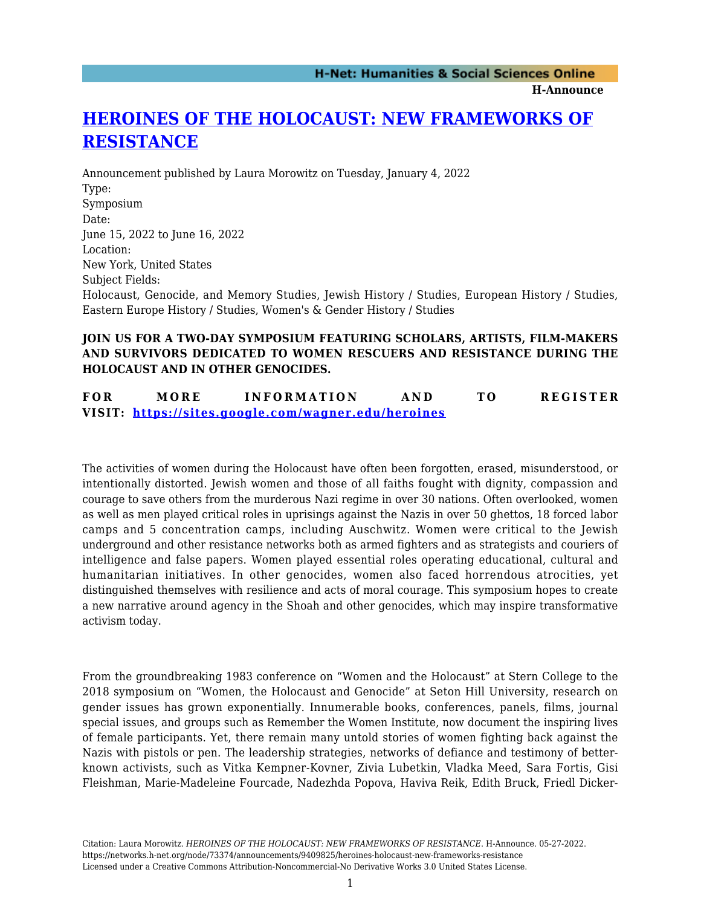**H-Announce** 

## **[HEROINES OF THE HOLOCAUST: NEW FRAMEWORKS OF](https://networks.h-net.org/node/73374/announcements/9409825/heroines-holocaust-new-frameworks-resistance) [RESISTANCE](https://networks.h-net.org/node/73374/announcements/9409825/heroines-holocaust-new-frameworks-resistance)**

Announcement published by Laura Morowitz on Tuesday, January 4, 2022 Type: Symposium Date: June 15, 2022 to June 16, 2022 Location: New York, United States Subject Fields: Holocaust, Genocide, and Memory Studies, Jewish History / Studies, European History / Studies, Eastern Europe History / Studies, Women's & Gender History / Studies

## **JOIN US FOR A TWO-DAY SYMPOSIUM FEATURING SCHOLARS, ARTISTS, FILM-MAKERS AND SURVIVORS DEDICATED TO WOMEN RESCUERS AND RESISTANCE DURING THE HOLOCAUST AND IN OTHER GENOCIDES.**

**FOR MORE INFORMATION AND TO REGISTER VISIT:<https://sites.google.com/wagner.edu/heroines>**

The activities of women during the Holocaust have often been forgotten, erased, misunderstood, or intentionally distorted. Jewish women and those of all faiths fought with dignity, compassion and courage to save others from the murderous Nazi regime in over 30 nations. Often overlooked, women as well as men played critical roles in uprisings against the Nazis in over 50 ghettos, 18 forced labor camps and 5 concentration camps, including Auschwitz. Women were critical to the Jewish underground and other resistance networks both as armed fighters and as strategists and couriers of intelligence and false papers. Women played essential roles operating educational, cultural and humanitarian initiatives. In other genocides, women also faced horrendous atrocities, yet distinguished themselves with resilience and acts of moral courage. This symposium hopes to create a new narrative around agency in the Shoah and other genocides, which may inspire transformative activism today.

From the groundbreaking 1983 conference on "Women and the Holocaust" at Stern College to the 2018 symposium on "Women, the Holocaust and Genocide" at Seton Hill University, research on gender issues has grown exponentially. Innumerable books, conferences, panels, films, journal special issues, and groups such as Remember the Women Institute, now document the inspiring lives of female participants. Yet, there remain many untold stories of women fighting back against the Nazis with pistols or pen. The leadership strategies, networks of defiance and testimony of betterknown activists, such as Vitka Kempner-Kovner, Zivia Lubetkin, Vladka Meed, Sara Fortis, Gisi Fleishman, Marie-Madeleine Fourcade, Nadezhda Popova, Haviva Reik, Edith Bruck, Friedl Dicker-